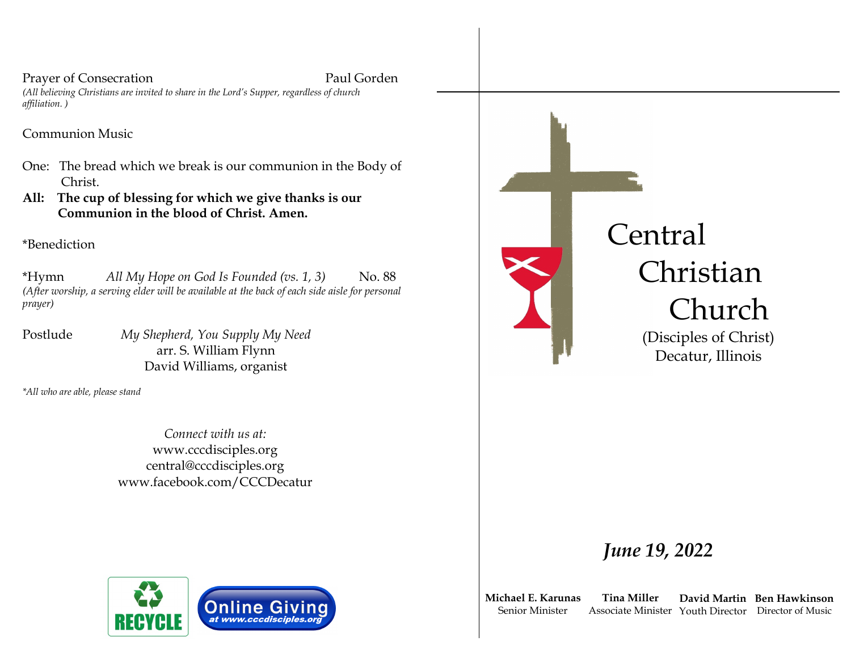Prayer of Consecration Paul Gorden

*(All believing Christians are invited to share in the Lord's Supper, regardless of church affiliation. )*

Communion Music

- One: The bread which we break is our communion in the Body of Christ.
- **All: The cup of blessing for which we give thanks is our Communion in the blood of Christ. Amen.**

\*Benediction

\*Hymn *All My Hope on God Is Founded (vs. 1, 3)* No. 88 *(After worship, a serving elder will be available at the back of each side aisle for personal prayer)*

Postlude *My Shepherd, You Supply My Need* arr. S. William Flynn David Williams, organist

*\*All who are able, please stand*

*Connect with us at:* www.cccdisciples.org central@cccdisciples.org www.facebook.com/CCCDecatur





**Michael E. Karunas** Senior Minister

**Tina Miller** Associate Minister Youth Director Director of Music

**Ben Hawkinson David Martin**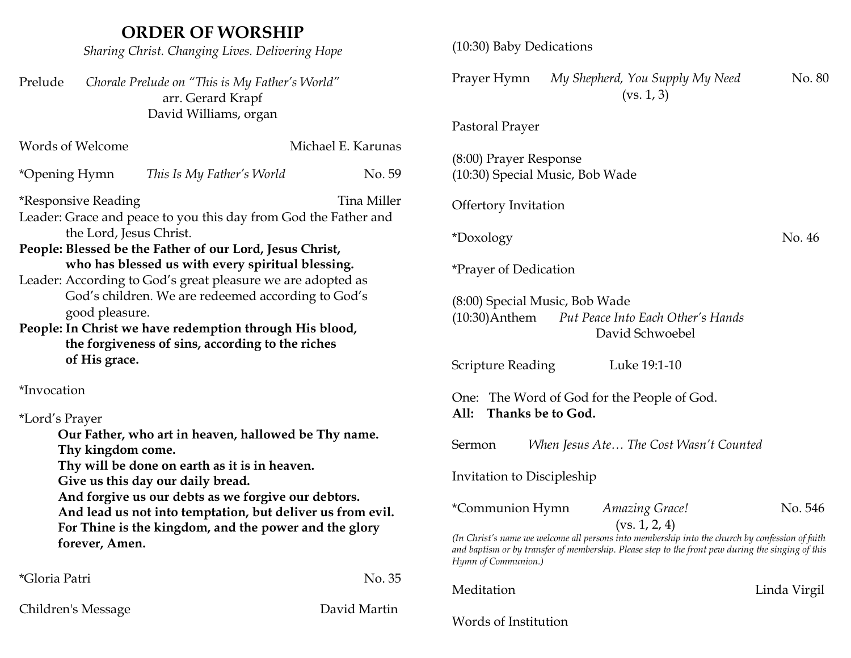# **ORDER OF WORSHIP**

*Sharing Christ. Changing Lives. Delivering Hope*

Prelude *Chorale Prelude on "This is My Father's World"* arr. Gerard Krapf David Williams, organ

| Words of Welcome                                                                                                                                                                                                                                                                                                                                                                                                                                                                                                                       |                                                                                                                                                                                                                                                                                                                          | Michael E. Karunas |  |  |
|----------------------------------------------------------------------------------------------------------------------------------------------------------------------------------------------------------------------------------------------------------------------------------------------------------------------------------------------------------------------------------------------------------------------------------------------------------------------------------------------------------------------------------------|--------------------------------------------------------------------------------------------------------------------------------------------------------------------------------------------------------------------------------------------------------------------------------------------------------------------------|--------------------|--|--|
| *Opening Hymn                                                                                                                                                                                                                                                                                                                                                                                                                                                                                                                          | This Is My Father's World                                                                                                                                                                                                                                                                                                | No. 59             |  |  |
| <b>Tina Miller</b><br><i>*Responsive Reading</i><br>Leader: Grace and peace to you this day from God the Father and<br>the Lord, Jesus Christ.<br>People: Blessed be the Father of our Lord, Jesus Christ,<br>who has blessed us with every spiritual blessing.<br>Leader: According to God's great pleasure we are adopted as<br>God's children. We are redeemed according to God's<br>good pleasure.<br>People: In Christ we have redemption through His blood,<br>the forgiveness of sins, according to the riches<br>of His grace. |                                                                                                                                                                                                                                                                                                                          |                    |  |  |
| *Invocation                                                                                                                                                                                                                                                                                                                                                                                                                                                                                                                            |                                                                                                                                                                                                                                                                                                                          |                    |  |  |
| *Lord's Prayer<br>Thy kingdom come.<br>forever, Amen.                                                                                                                                                                                                                                                                                                                                                                                                                                                                                  | Our Father, who art in heaven, hallowed be Thy name.<br>Thy will be done on earth as it is in heaven.<br>Give us this day our daily bread.<br>And forgive us our debts as we forgive our debtors.<br>And lead us not into temptation, but deliver us from evil.<br>For Thine is the kingdom, and the power and the glory |                    |  |  |
| <i>*Gloria Patri</i>                                                                                                                                                                                                                                                                                                                                                                                                                                                                                                                   |                                                                                                                                                                                                                                                                                                                          | No. 35             |  |  |
| Children's Message                                                                                                                                                                                                                                                                                                                                                                                                                                                                                                                     |                                                                                                                                                                                                                                                                                                                          | David Martin       |  |  |

| (10:30) Baby Dedications                                  |                                                                                                                                                                                                                       |              |
|-----------------------------------------------------------|-----------------------------------------------------------------------------------------------------------------------------------------------------------------------------------------------------------------------|--------------|
| Prayer Hymn                                               | My Shepherd, You Supply My Need<br>(vs. 1, 3)                                                                                                                                                                         | No. 80       |
| Pastoral Prayer                                           |                                                                                                                                                                                                                       |              |
| (8:00) Prayer Response<br>(10:30) Special Music, Bob Wade |                                                                                                                                                                                                                       |              |
| Offertory Invitation                                      |                                                                                                                                                                                                                       |              |
| *Doxology                                                 |                                                                                                                                                                                                                       | No. 46       |
| <i>*Prayer of Dedication</i>                              |                                                                                                                                                                                                                       |              |
| (8:00) Special Music, Bob Wade<br>$(10:30)$ Anthem        | Put Peace Into Each Other's Hands<br>David Schwoebel                                                                                                                                                                  |              |
| Scripture Reading                                         | Luke 19:1-10                                                                                                                                                                                                          |              |
| Thanks be to God.<br>All:                                 | One: The Word of God for the People of God.                                                                                                                                                                           |              |
| Sermon                                                    | When Jesus Ate The Cost Wasn't Counted                                                                                                                                                                                |              |
| Invitation to Discipleship                                |                                                                                                                                                                                                                       |              |
| *Communion Hymn                                           | Amazing Grace!                                                                                                                                                                                                        | No. 546      |
| Hymn of Communion.)                                       | (vs. 1, 2, 4)<br>(In Christ's name we welcome all persons into membership into the church by confession of faith<br>and baptism or by transfer of membership. Please step to the front pew during the singing of this |              |
| Meditation                                                |                                                                                                                                                                                                                       | Linda Virgil |
| Words of Institution                                      |                                                                                                                                                                                                                       |              |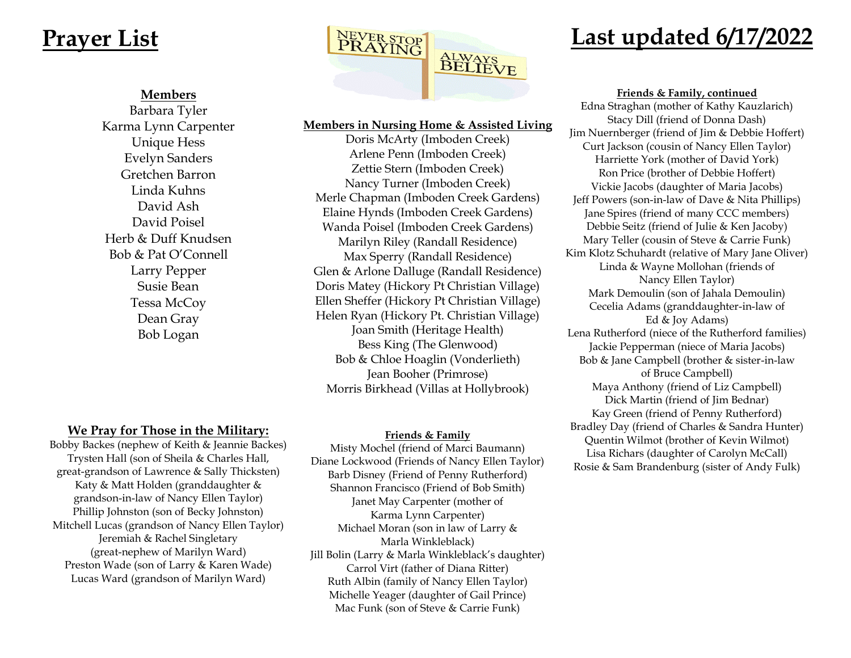## **Members**

Barbara Tyler Karma Lynn Carpenter Unique Hess Evelyn Sanders Gretchen Barron Linda Kuhns David Ash David Poisel Herb & Duff Knudsen Bob & Pat O'Connell Larry Pepper Susie Bean Tessa McCoy Dean Gray Bob Logan



### **Members in Nursing Home & Assisted Living**

Doris McArty (Imboden Creek) Arlene Penn (Imboden Creek) Zettie Stern (Imboden Creek) Nancy Turner (Imboden Creek) Merle Chapman (Imboden Creek Gardens) Elaine Hynds (Imboden Creek Gardens) Wanda Poisel (Imboden Creek Gardens) Marilyn Riley (Randall Residence) Max Sperry (Randall Residence) Glen & Arlone Dalluge (Randall Residence) Doris Matey (Hickory Pt Christian Village) Ellen Sheffer (Hickory Pt Christian Village) Helen Ryan (Hickory Pt. Christian Village) Joan Smith (Heritage Health) Bess King (The Glenwood) Bob & Chloe Hoaglin (Vonderlieth) Jean Booher (Primrose) Morris Birkhead (Villas at Hollybrook)

## **We Pray for Those in the Military:**

Bobby Backes (nephew of Keith & Jeannie Backes) Trysten Hall (son of Sheila & Charles Hall, great-grandson of Lawrence & Sally Thicksten) Katy & Matt Holden (granddaughter & grandson-in-law of Nancy Ellen Taylor) Phillip Johnston (son of Becky Johnston) Mitchell Lucas (grandson of Nancy Ellen Taylor) Jeremiah & Rachel Singletary (great-nephew of Marilyn Ward) Preston Wade (son of Larry & Karen Wade) Lucas Ward (grandson of Marilyn Ward)

### **Friends & Family**

Misty Mochel (friend of Marci Baumann) Diane Lockwood (Friends of Nancy Ellen Taylor) Barb Disney (Friend of Penny Rutherford) Shannon Francisco (Friend of Bob Smith) Janet May Carpenter (mother of Karma Lynn Carpenter) Michael Moran (son in law of Larry & Marla Winkleblack) Jill Bolin (Larry & Marla Winkleblack's daughter) Carrol Virt (father of Diana Ritter) Ruth Albin (family of Nancy Ellen Taylor) Michelle Yeager (daughter of Gail Prince) Mac Funk (son of Steve & Carrie Funk)

#### **Friends & Family, continued**

Edna Straghan (mother of Kathy Kauzlarich) Stacy Dill (friend of Donna Dash) Jim Nuernberger (friend of Jim & Debbie Hoffert) Curt Jackson (cousin of Nancy Ellen Taylor) Harriette York (mother of David York) Ron Price (brother of Debbie Hoffert) Vickie Jacobs (daughter of Maria Jacobs) Jeff Powers (son-in-law of Dave & Nita Phillips) Jane Spires (friend of many CCC members) Debbie Seitz (friend of Julie & Ken Jacoby) Mary Teller (cousin of Steve & Carrie Funk) Kim Klotz Schuhardt (relative of Mary Jane Oliver) Linda & Wayne Mollohan (friends of Nancy Ellen Taylor) Mark Demoulin (son of Jahala Demoulin) Cecelia Adams (granddaughter-in-law of Ed & Joy Adams) Lena Rutherford (niece of the Rutherford families) Jackie Pepperman (niece of Maria Jacobs) Bob & Jane Campbell (brother & sister-in-law of Bruce Campbell) Maya Anthony (friend of Liz Campbell) Dick Martin (friend of Jim Bednar) Kay Green (friend of Penny Rutherford) Bradley Day (friend of Charles & Sandra Hunter) Quentin Wilmot (brother of Kevin Wilmot) Lisa Richars (daughter of Carolyn McCall) Rosie & Sam Brandenburg (sister of Andy Fulk)